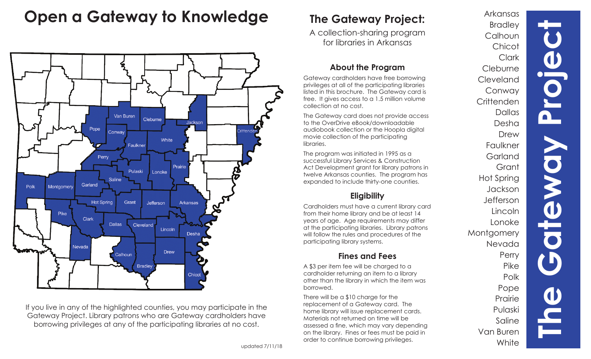# **Open a Gateway to Knowledge**



If you live in any of the highlighted counties, you may participate in the Gateway Project. Library patrons who are Gateway cardholders have borrowing privileges at any of the participating libraries at no cost.

# **The Gateway Project:**

A collection-sharing program for libraries in Arkansas

### **About the Program**

Gateway cardholders have free borrowing privileges at all of the participating libraries listed in this brochure. The Gateway card is free. It gives access to a 1.5 million volume collection at no cost.

The Gateway card does not provide access to the OverDrive eBook/downloadable audiobook collection or the Hoopla digital movie collection of the participating libraries.

The program was initiated in 1995 as a successful Library Services & Construction Act Development grant for library patrons in twelve Arkansas counties. The program has expanded to include thirty-one counties.

# **Eligibility**

Cardholders must have a current library card from their home library and be at least 14 years of age. Age requirements may differ at the participating libraries. Library patrons will follow the rules and procedures of the participating library systems.

## **Fines and Fees**

A \$3 per item fee will be charged to a cardholder returning an item to a library other than the library in which the item was borrowed.

There will be a \$10 charge for the replacement of a Gateway card. The home library will issue replacement cards. Materials not returned on time will be assessed a fine, which may vary depending on the library. Fines or fees must be paid in order to continue borrowing privileges.

**The Gateway Project** Arkansas Bradley **Calhoun Chicot Clark Cleburne** Cleveland Conway **Crittenden** Dallas Desha Drew Faulkner **Garland** Grant Hot Spring Jackson Jefferson Lincoln Lonoke Montgomery Nevada **Perry** Pike Polk Pope Prairie Pulaski Saline Van Buren **White** 

n

Tewol